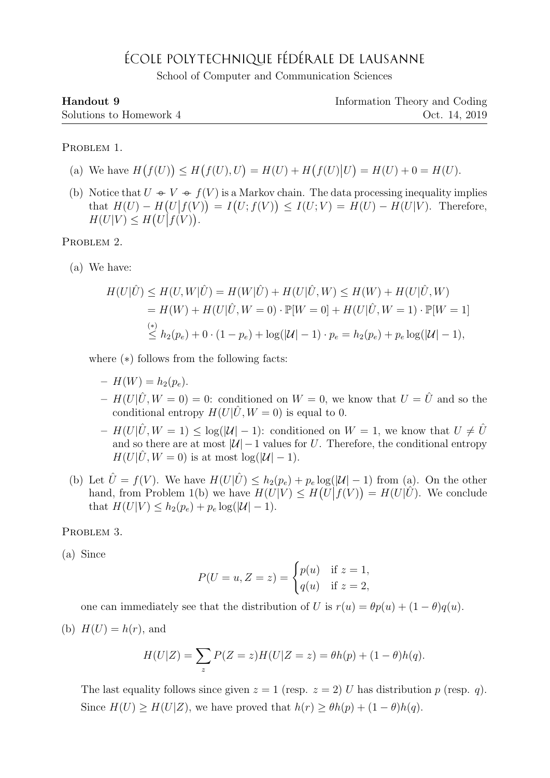## ÉCOLE POLYTECHNIQUE FÉDÉRALE DE LAUSANNE

School of Computer and Communication Sciences

| Handout 9               | Information Theory and Coding |
|-------------------------|-------------------------------|
| Solutions to Homework 4 | Oct. 14, 2019                 |

PROBLEM 1.

- (a) We have  $H(f(U)) \le H(f(U), U) = H(U) + H(f(U)|U) = H(U) + 0 = H(U)$ .
- (b) Notice that  $U \oplus V \oplus f(V)$  is a Markov chain. The data processing inequality implies that  $H(U) - H(U|f(V)) = I(U; f(V)) \leq I(U; V) = H(U) - H(U|V)$ . Therefore,  $H(U|V) \leq H(U|f(V)).$

PROBLEM 2.

(a) We have:

$$
H(U|\hat{U}) \le H(U, W|\hat{U}) = H(W|\hat{U}) + H(U|\hat{U}, W) \le H(W) + H(U|\hat{U}, W)
$$
  
=  $H(W) + H(U|\hat{U}, W = 0) \cdot \mathbb{P}[W = 0] + H(U|\hat{U}, W = 1) \cdot \mathbb{P}[W = 1]$   
 $\stackrel{(*)}{\le} h_2(p_e) + 0 \cdot (1 - p_e) + \log(|\mathcal{U}| - 1) \cdot p_e = h_2(p_e) + p_e \log(|\mathcal{U}| - 1),$ 

where (∗) follows from the following facts:

- $H(W) = h_2(p_e).$
- $H(U|\hat{U}, W=0) = 0$ : conditioned on  $W=0$ , we know that  $U=\hat{U}$  and so the conditional entropy  $H(U|\hat{U}, W=0)$  is equal to 0.
- $-H(U|\hat{U}, W=1) \leq \log(|\mathcal{U}| 1)$ : conditioned on  $W=1$ , we know that  $U \neq \hat{U}$ and so there are at most  $|U|-1$  values for U. Therefore, the conditional entropy  $H(U|\hat{U}, W=0)$  is at most  $log(|\mathcal{U}| - 1)$ .
- (b) Let  $\hat{U} = f(V)$ . We have  $H(U|\hat{U}) \leq h_2(p_e) + p_e \log(|\mathcal{U}| 1)$  from (a). On the other hand, from Problem 1(b) we have  $H(U|V) \leq H(U|f(V)) = H(U|\hat{U})$ . We conclude that  $H(U|V) \leq h_2(p_e) + p_e \log(|U| - 1)$ .

## PROBLEM 3.

(a) Since

$$
P(U = u, Z = z) = \begin{cases} p(u) & \text{if } z = 1, \\ q(u) & \text{if } z = 2, \end{cases}
$$

one can immediately see that the distribution of U is  $r(u) = \theta p(u) + (1 - \theta)q(u)$ .

(b)  $H(U) = h(r)$ , and

$$
H(U|Z) = \sum_{z} P(Z = z)H(U|Z = z) = \theta h(p) + (1 - \theta)h(q).
$$

The last equality follows since given  $z = 1$  (resp.  $z = 2$ ) U has distribution p (resp. q). Since  $H(U) \ge H(U|Z)$ , we have proved that  $h(r) \ge \theta h(p) + (1 - \theta)h(q)$ .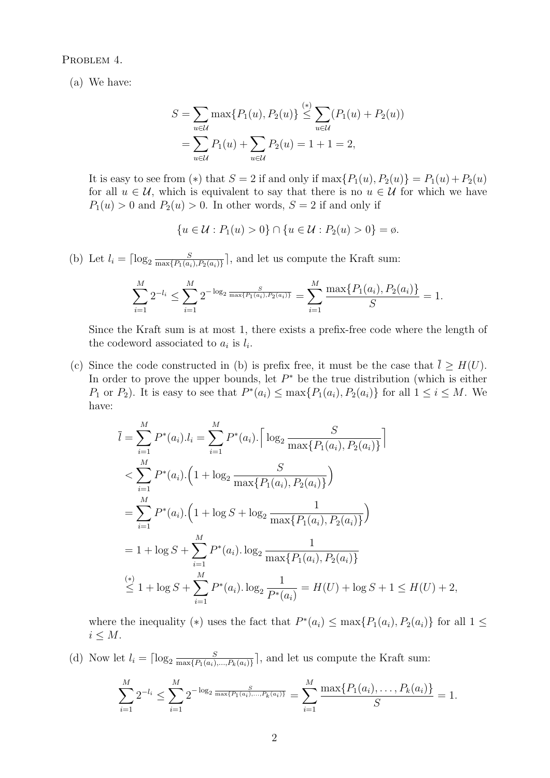PROBLEM 4.

(a) We have:

$$
S = \sum_{u \in \mathcal{U}} \max \{ P_1(u), P_2(u) \} \stackrel{(*)}{\leq} \sum_{u \in \mathcal{U}} (P_1(u) + P_2(u))
$$
  
= 
$$
\sum_{u \in \mathcal{U}} P_1(u) + \sum_{u \in \mathcal{U}} P_2(u) = 1 + 1 = 2,
$$

It is easy to see from (\*) that  $S = 2$  if and only if  $\max\{P_1(u), P_2(u)\} = P_1(u) + P_2(u)$ for all  $u \in \mathcal{U}$ , which is equivalent to say that there is no  $u \in \mathcal{U}$  for which we have  $P_1(u) > 0$  and  $P_2(u) > 0$ . In other words,  $S = 2$  if and only if

$$
\{u \in \mathcal{U} : P_1(u) > 0\} \cap \{u \in \mathcal{U} : P_2(u) > 0\} = \emptyset.
$$

(b) Let  $l_i = \lceil \log_2 \frac{S}{\max\{P_1(a_i)\}}\rceil$  $\frac{S}{\max\{P_1(a_i), P_2(a_i)\}}$ , and let us compute the Kraft sum:

$$
\sum_{i=1}^{M} 2^{-l_i} \le \sum_{i=1}^{M} 2^{-\log_2 \frac{S}{\max\{P_1(a_i), P_2(a_i)\}}} = \sum_{i=1}^{M} \frac{\max\{P_1(a_i), P_2(a_i)\}}{S} = 1.
$$

Since the Kraft sum is at most 1, there exists a prefix-free code where the length of the codeword associated to  $a_i$  is  $l_i$ .

(c) Since the code constructed in (b) is prefix free, it must be the case that  $\overline{l} \geq H(U)$ . In order to prove the upper bounds, let  $P^*$  be the true distribution (which is either  $P_1$  or  $P_2$ ). It is easy to see that  $P^*(a_i) \leq \max\{P_1(a_i), P_2(a_i)\}\)$  for all  $1 \leq i \leq M$ . We have:

$$
\overline{l} = \sum_{i=1}^{M} P^*(a_i) . l_i = \sum_{i=1}^{M} P^*(a_i). \left[ \log_2 \frac{S}{\max\{P_1(a_i), P_2(a_i)\}} \right]
$$
  

$$
< \sum_{i=1}^{M} P^*(a_i). \left( 1 + \log_2 \frac{S}{\max\{P_1(a_i), P_2(a_i)\}} \right)
$$
  

$$
= \sum_{i=1}^{M} P^*(a_i). \left( 1 + \log S + \log_2 \frac{1}{\max\{P_1(a_i), P_2(a_i)\}} \right)
$$
  

$$
= 1 + \log S + \sum_{i=1}^{M} P^*(a_i). \log_2 \frac{1}{\max\{P_1(a_i), P_2(a_i)\}}
$$
  

$$
\stackrel{(*)}{\leq} 1 + \log S + \sum_{i=1}^{M} P^*(a_i). \log_2 \frac{1}{P^*(a_i)} = H(U) + \log S + 1 \le H(U) + 2,
$$

where the inequality (\*) uses the fact that  $P^*(a_i) \leq \max\{P_1(a_i), P_2(a_i)\}\)$  for all  $1 \leq$  $i \leq M$ .

(d) Now let  $l_i = \lceil \log_2 \frac{S}{\max\{P_1(a_i)\}}\rceil$  $\frac{S}{\max\{P_1(a_i),...,P_k(a_i)\}}$ , and let us compute the Kraft sum:

$$
\sum_{i=1}^{M} 2^{-l_i} \le \sum_{i=1}^{M} 2^{-\log_2 \frac{S}{\max\{P_1(a_i),\dots,P_k(a_i)\}}} = \sum_{i=1}^{M} \frac{\max\{P_1(a_i),\dots,P_k(a_i)\}}{S} = 1.
$$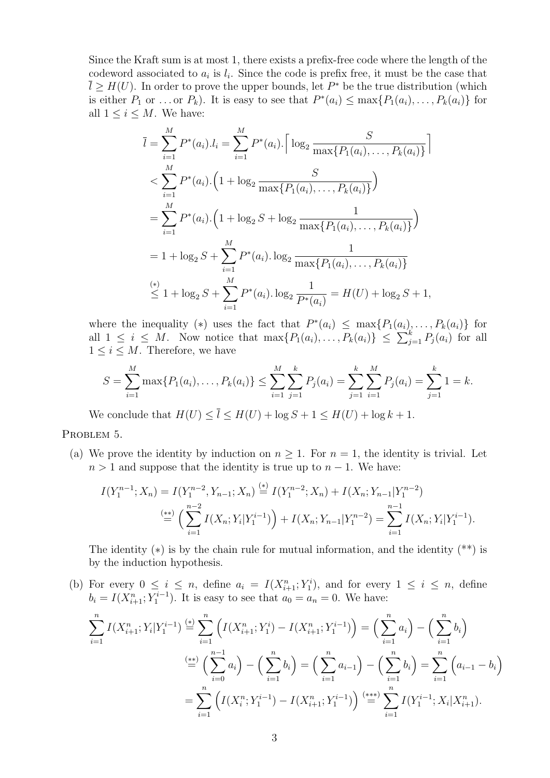Since the Kraft sum is at most 1, there exists a prefix-free code where the length of the codeword associated to  $a_i$  is  $l_i$ . Since the code is prefix free, it must be the case that  $\overline{l} \geq H(U)$ . In order to prove the upper bounds, let  $P^*$  be the true distribution (which is either  $P_1$  or ... or  $P_k$ ). It is easy to see that  $P^*(a_i) \leq \max\{P_1(a_i), \ldots, P_k(a_i)\}\$  for all  $1 \leq i \leq M$ . We have:

$$
\overline{l} = \sum_{i=1}^{M} P^*(a_i) . l_i = \sum_{i=1}^{M} P^*(a_i) . \left[ \log_2 \frac{S}{\max\{P_1(a_i), \dots, P_k(a_i)\}} \right]
$$
  

$$
< \sum_{i=1}^{M} P^*(a_i) . \left( 1 + \log_2 \frac{S}{\max\{P_1(a_i), \dots, P_k(a_i)\}} \right)
$$
  

$$
= \sum_{i=1}^{M} P^*(a_i) . \left( 1 + \log_2 S + \log_2 \frac{1}{\max\{P_1(a_i), \dots, P_k(a_i)\}} \right)
$$
  

$$
= 1 + \log_2 S + \sum_{i=1}^{M} P^*(a_i) . \log_2 \frac{1}{\max\{P_1(a_i), \dots, P_k(a_i)\}}
$$
  

$$
\stackrel{(*)}{\leq} 1 + \log_2 S + \sum_{i=1}^{M} P^*(a_i) . \log_2 \frac{1}{P^*(a_i)} = H(U) + \log_2 S + 1,
$$

where the inequality (\*) uses the fact that  $P^*(a_i) \leq \max\{P_1(a_i), \ldots, P_k(a_i)\}\;$  for all  $1 \leq i \leq M$ . Now notice that  $\max\{P_1(a_i), \ldots, P_k(a_i)\} \leq \sum_{j=1}^k P_j(a_i)$  for all  $1 \leq i \leq M$ . Therefore, we have

$$
S = \sum_{i=1}^{M} \max\{P_1(a_i), \dots, P_k(a_i)\} \le \sum_{i=1}^{M} \sum_{j=1}^{k} P_j(a_i) = \sum_{j=1}^{k} \sum_{i=1}^{M} P_j(a_i) = \sum_{j=1}^{k} 1 = k.
$$

We conclude that  $H(U) \leq \overline{l} \leq H(U) + \log S + 1 \leq H(U) + \log k + 1$ .

PROBLEM 5.

(a) We prove the identity by induction on  $n \geq 1$ . For  $n = 1$ , the identity is trivial. Let  $n > 1$  and suppose that the identity is true up to  $n - 1$ . We have:

$$
I(Y_1^{n-1}; X_n) = I(Y_1^{n-2}, Y_{n-1}; X_n) \stackrel{(*)}{=} I(Y_1^{n-2}; X_n) + I(X_n; Y_{n-1}|Y_1^{n-2})
$$
  

$$
\stackrel{(**)}{=} \left(\sum_{i=1}^{n-2} I(X_n; Y_i|Y_1^{i-1})\right) + I(X_n; Y_{n-1}|Y_1^{n-2}) = \sum_{i=1}^{n-1} I(X_n; Y_i|Y_1^{i-1}).
$$

The identity  $(*)$  is by the chain rule for mutual information, and the identity  $(**)$  is by the induction hypothesis.

(b) For every  $0 \leq i \leq n$ , define  $a_i = I(X_{i+1}^n; Y_1^i)$ , and for every  $1 \leq i \leq n$ , define  $b_i = I(X_{i+1}^n; Y_1^{i-1})$ . It is easy to see that  $a_0 = a_n = 0$ . We have:  $\sum_{n=1}^{\infty}$  $i=1$  $I(X_{i+1}^n; Y_i | Y_1^{i-1}) \stackrel{(*)}{=} \sum_{i=1}^n$  $i=1$  $\left(I(X_{i+1}^n; Y_1^i) - I(X_{i+1}^n; Y_1^{i-1})\right) = \left(\sum_{i=1}^n Y_i^i\right)$  $i=1$  $a_i$ ) –  $\Big(\sum_{n=1}^{n}$  $i=1$  $b_i$  $\stackrel{(**)}{=} \left( \sum_{n=1}^{n-1} \right)$  $i=0$  $a_i$ ) –  $\Big(\sum_{n=1}^{n}$  $i=1$  $b_i$ ) =  $\left(\sum_{i=1}^n a_i\right)$  $i=1$  $a_{i-1}$ ) –  $\Big(\sum_{n=1}^{n}$  $i=1$  $b_i$ ) =  $\sum_{i=1}^{n}$  $i=1$  $\big(a_{i-1} - b_i\big)$  $=\sum_{n=1}^{\infty}$  $\frac{i=1}{i}$  $\left(I(X_i^n; Y_1^{i-1}) - I(X_{i+1}^n; Y_1^{i-1})\right) \stackrel{(***)}{=} \sum_{i=1}^n$  $i=1$  $I(Y_1^{i-1}; X_i | X_{i+1}^n).$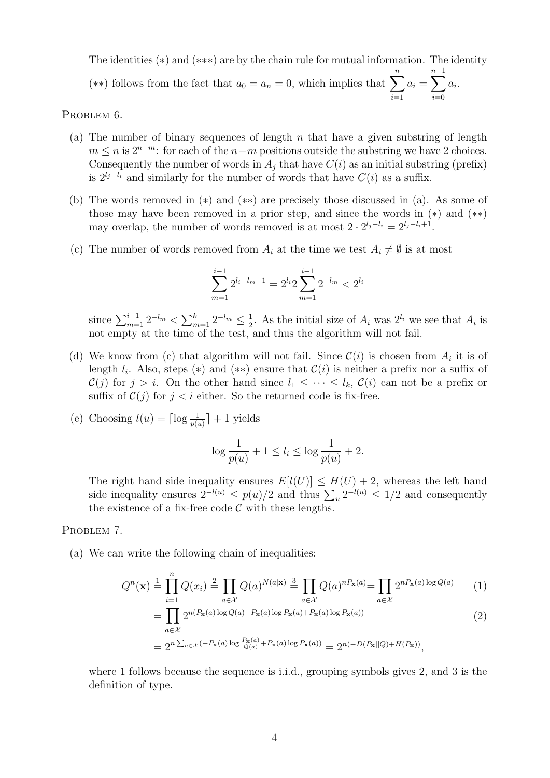The identities (∗) and (∗∗∗) are by the chain rule for mutual information. The identity (\*\*) follows from the fact that  $a_0 = a_n = 0$ , which implies that  $\sum_{n=1}^n$  $i=1$  $a_i = \sum^{n-1}$  $i=0$  $a_i$ .

PROBLEM 6.

- (a) The number of binary sequences of length  $n$  that have a given substring of length  $m \leq n$  is  $2^{n-m}$ : for each of the  $n-m$  positions outside the substring we have 2 choices. Consequently the number of words in  $A_i$  that have  $C(i)$  as an initial substring (prefix) is  $2^{l_j-l_i}$  and similarly for the number of words that have  $C(i)$  as a suffix.
- (b) The words removed in (∗) and (∗∗) are precisely those discussed in (a). As some of those may have been removed in a prior step, and since the words in  $(*)$  and  $(**)$ may overlap, the number of words removed is at most  $2 \cdot 2^{l_j - l_i} = 2^{l_j - l_i + 1}$ .
- (c) The number of words removed from  $A_i$  at the time we test  $A_i \neq \emptyset$  is at most

$$
\sum_{m=1}^{i-1} 2^{l_i - l_m + 1} = 2^{l_i} 2 \sum_{m=1}^{i-1} 2^{-l_m} < 2^{l_i}
$$

since  $\sum_{m=1}^{i-1} 2^{-l_m} < \sum_{m=1}^{k} 2^{-l_m} \le \frac{1}{2}$  $\frac{1}{2}$ . As the initial size of  $A_i$  was  $2^{l_i}$  we see that  $A_i$  is not empty at the time of the test, and thus the algorithm will not fail.

- (d) We know from (c) that algorithm will not fail. Since  $\mathcal{C}(i)$  is chosen from  $A_i$  it is of length  $l_i$ . Also, steps (\*) and (\*\*) ensure that  $\mathcal{C}(i)$  is neither a prefix nor a suffix of  $\mathcal{C}(j)$  for  $j > i$ . On the other hand since  $l_1 \leq \cdots \leq l_k$ ,  $\mathcal{C}(i)$  can not be a prefix or suffix of  $\mathcal{C}(j)$  for  $j < i$  either. So the returned code is fix-free.
- (e) Choosing  $l(u) = \lceil \log \frac{1}{p(u)} \rceil + 1$  yields

$$
\log \frac{1}{p(u)} + 1 \le l_i \le \log \frac{1}{p(u)} + 2.
$$

The right hand side inequality ensures  $E[l(U)] \leq H(U) + 2$ , whereas the left hand side inequality ensures  $2^{-l(u)} \le p(u)/2$  and thus  $\sum_{u} 2^{-l(u)} \le 1/2$  and consequently the existence of a fix-free code  $C$  with these lengths.

## PROBLEM 7.

(a) We can write the following chain of inequalities:

$$
Q^{n}(\mathbf{x}) \stackrel{1}{=} \prod_{i=1}^{n} Q(x_i) \stackrel{2}{=} \prod_{a \in \mathcal{X}} Q(a)^{N(a|\mathbf{x})} \stackrel{3}{=} \prod_{a \in \mathcal{X}} Q(a)^{n} \mathbb{P}_{\mathbf{x}}(a) = \prod_{a \in \mathcal{X}} 2^{n} \mathbb{P}_{\mathbf{x}}(a) \log Q(a) \tag{1}
$$

$$
= \prod_{a \in \mathcal{X}} 2^{n(P_{\mathbf{x}}(a) \log Q(a) - P_{\mathbf{x}}(a) \log P_{\mathbf{x}}(a) + P_{\mathbf{x}}(a) \log P_{\mathbf{x}}(a))}
$$
(2)

$$
=2^{n\sum_{a\in\mathcal{X}}(-P_{\mathbf{x}}(a)\log\frac{P_{\mathbf{x}}(a)}{Q(a)}+P_{\mathbf{x}}(a)\log P_{\mathbf{x}}(a))}=2^{n(-D(P_{\mathbf{x}}||Q)+H(P_{\mathbf{x}}))},
$$

where 1 follows because the sequence is i.i.d., grouping symbols gives 2, and 3 is the definition of type.